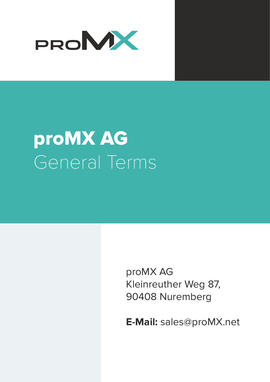

# proMX AG General Terms

proMX AG Kleinreuther Weg 87, 90408 Nuremberg

**E-Mail:** sales@proMX.net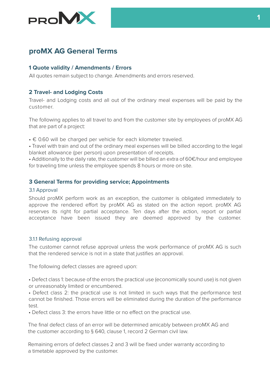

## **proMX AG General Terms**

## **1 Quote validity / Amendments / Errors**

All quotes remain subject to change. Amendments and errors reserved.

## **2 Travel- and Lodging Costs**

Travel- and Lodging costs and all out of the ordinary meal expenses will be paid by the customer...................................................................................................................................

The following applies to all travel to and from the customer site by employees of proMX AG that are part of a project:

 $\cdot \in 0.60$  will be charged per vehicle for each kilometer traveled.

• Travel with train and out of the ordinary meal expenses will be billed according to the legal blanket allowance (per person) upon presentation of receipts.

• Additionally to the daily rate, the customer will be billed an extra of 60€/hour and employee for traveling time unless the employee spends 8 hours or more on site.

### **3 General Terms for providing service; Appointments**

#### 3.1 Approval

Should proMX perform work as an exception, the customer is obligated immediately to approve the rendered effort by proMX AG as stated on the action report. proMX AG reserves its right for partial acceptance. Ten days after the action, report or partial acceptance have been issued they are deemed approved by the customer.

#### 3.1.1 Refusing approval

The customer cannot refuse approval unless the work performance of proMX AG is such that the rendered service is not in a state that justifies an approval.

The following defect classes are agreed upon:

• Defect class 1: because of the errors the practical use (economically sound use) is not given or unreasonably limited or encumbered.

• Defect class 2: the practical use is not limited in such ways that the performance test cannot be finished. Those errors will be eliminated during the duration of the performance test.

• Defect class 3: the errors have little or no effect on the practical use.

The final defect class of an error will be determined amicably between proMX AG and the customer according to § 640, clause 1, record 2 German civil law.

Remaining errors of defect classes 2 and 3 will be fixed under warranty according to a timetable approved by the customer.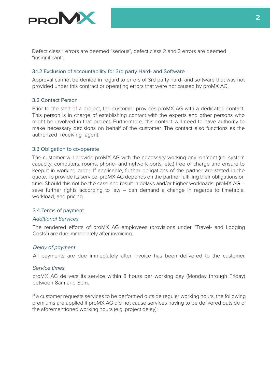

Defect class 1 errors are deemed "serious", defect class 2 and 3 errors are deemed "insignificant".

#### 3.1.2 Exclusion of accountability for 3rd party Hard- and Software

Approval cannot be denied in regard to errors of 3rd party hard- and software that was not provided under this contract or operating errors that were not caused by proMX AG.

#### 3.2 Contact Person

Prior to the start of a project, the customer provides proMX AG with a dedicated contact. This person is in charge of establishing contact with the experts and other persons who might be involved in that project. Furthermore, this contact will need to have authority to make necessary decisions on behalf of the customer. The contact also functions as the authorized receiving agent.

#### 3.3 Obligation to co-operate

The customer will provide proMX AG with the necessary working environment (i.e. system capacity, computers, rooms, phone- and network ports, etc.) free of charge and ensure to keep it in working order. If applicable, further obligations of the partner are stated in the quote. To provide its service, proMX AG depends on the partner fulfilling their obligations on time. Should this not be the case and result in delays and/or higher workloads, proMX AG – save further rights according to law – can demand a change in regards to timetable, workload, and pricing.

#### 3.4 Terms of payment

#### Additional Services

The rendered efforts of proMX AG employees (provisions under "Travel- and Lodging Costs") are due immediately after invoicing.

#### Delay of payment

All payments are due immediately after invoice has been delivered to the customer.

#### Service times

proMX AG delivers its service within 8 hours per working day (Monday through Friday) between 8am and 8pm.

If a customer requests services to be performed outside regular working hours, the following premiums are applied if proMX AG did not cause services having to be delivered outside of the aforementioned working hours (e.g. project delay):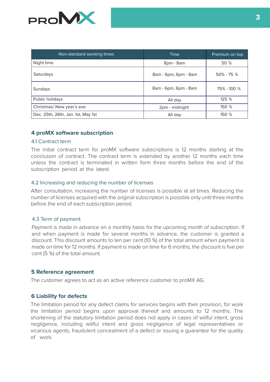

| Non-standard working times         | Time                 | Premium on top |
|------------------------------------|----------------------|----------------|
| Night time                         | 8pm - 8am            | 50 %           |
| Saturdays                          | 8am - 6pm, 6pm - 8am | $50\% - 75\%$  |
| Sundays                            | 8am - 6pm, 6pm - 8am | 75% - 100 %    |
| Public holidays                    | All day              | 125 %          |
| Christmas/ New year's eve          | 2pm - midnight       | 150 %          |
| Dec. 25th, 26th, Jan. 1st, May 1st | All day              | 150 %          |

## **4 proMX software subscription**

#### 4.1 Contract term

The initial contract term for proMX software subscriptions is 12 months starting at the conclusion of contract. The contract term is extended by another 12 months each time unless the contract is terminated in written form three months before the end of the subscription period at the latest.

#### 4.2 Increasing and reducing the number of licenses

After consultation, increasing the number of licenses is possible at all times. Reducing the number of licenses acquired with the original subscription is possible only until three months before the end of each subscription period.

#### 4.3 Term of payment

Payment is made in advance on a monthly basis for the upcoming month of subscription. If and when payment is made for several months in advance, the customer is granted a discount. This discount amounts to ten per cent (10 %) of the total amount when payment is made on time for 12 months. If payment is made on time for 6 months, the discount is five per cent (5 %) of the total amount.

#### **5 Reference agreement**

The customer agrees to act as an active reference customer to proMX AG.

## **6 Liability for defects**

The limitation period for any defect claims for services begins with their provision, for work the limitation period begins upon approval thereof and amounts to 12 months. The shortening of the statutory limitation period does not apply in cases of willful intent, gross negligence, including willful intent and gross negligence of legal representatives or vicarious agents, fraudulent concealment of a defect or issuing a guarantee for the quality of work.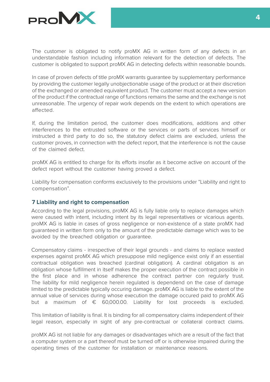

The customer is obligated to notify proMX AG in written form of any defects in an understandable fashion including information relevant for the detection of defects. The customer is obligated to support proMX AG in detecting defects within reasonable bounds.

In case of proven defects of title proMX warrants guarantee by supplementary performance by providing the customer legally unobjectionable usage of the product or at their discretion of the exchanged or amended equivalent product. The customer must accept a new version of the product if the contractual range of functions remains the same and the exchange is not unreasonable. The urgency of repair work depends on the extent to which operations are affected. The contract of the contract of the contract of the contract of the contract of the contract of the contract of the contract of the contract of the contract of the contract of the contract of the contract of the

If, during the limitation period, the customer does modifications, additions and other interferences to the entrusted software or the services or parts of services himself or instructed a third party to do so, the statutory defect claims are excluded, unless the customer proves, in connection with the defect report, that the interference is not the cause of the claimed defect

proMX AG is entitled to charge for its efforts insofar as it become active on account of the defect report without the customer having proved a defect.

Liability for compensation conforms exclusively to the provisions under "Liability and right to compensation".

## **7 Liability and right to compensation**

According to the legal provisions, proMX AG is fully liable only to replace damages which were caused with intent, including intent by its legal representatives or vicarious agents. proMX AG is liable in cases of gross negligence or non-existence of a state proMX had guaranteed in written form only to the amount of the predictable damage which was to be avoided by the breached obligation or quarantee.

Compensatory claims - irrespective of their legal grounds - and claims to replace wasted expenses against proMX AG which presuppose mild negligence exist only if an essential contractual obligation was breached (cardinal obligation). A cardinal obligation is an obligation whose fulfillment in itself makes the proper execution of the contract possible in the first place and in whose adherence the contract partner con regularly trust. The liability for mild negligence herein regulated is dependend on the case of damage limited to the predictable typically occuring damage. proMX AG is liable to the extent of the annual value of services during whose execution the damage occured paid to proMX AG but a maximum of € 60,000.00. Liability for lost proceeds is excluded.

This limitation of liability is final. It is binding for all compensatory claims independent of their legal reason, especially in sight of any pre-contractual or collateral contract claims.

proMX AG ist not liable for any damages or disadvantages which are a result of the fact that a computer system or a part thereof must be turned off or is otherwise impaired during the operating times of the customer for installation or maintenance reasons.